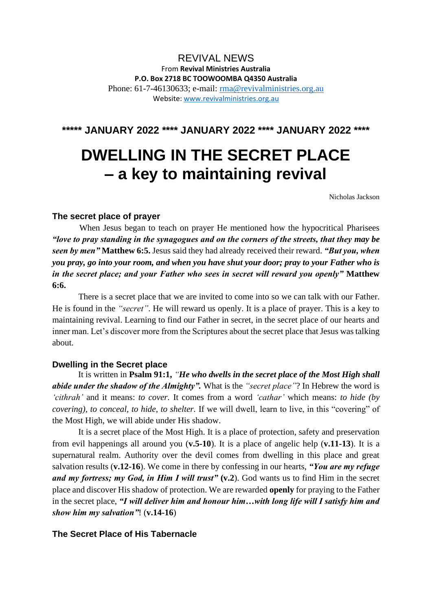## REVIVAL NEWS From **Revival Ministries Australia P.O. Box 2718 BC TOOWOOMBA Q4350 Australia** Phone: 61-7-46130633; e-mail: [rma@revivalministries.org.au](mailto:rma@revivalministries.org.au) Website: [www.revivalministries.org.au](https://apac01.safelinks.protection.outlook.com/?url=http%3A%2F%2Fwww.revivalministries.org.au%2F&data=04%7C01%7C%7C20a5283cb0de49d4e2d808d9dc7d8648%7C84df9e7fe9f640afb435aaaaaaaaaaaa%7C1%7C0%7C637783254065053608%7CUnknown%7CTWFpbGZsb3d8eyJWIjoiMC4wLjAwMDAiLCJQIjoiV2luMzIiLCJBTiI6Ik1haWwiLCJXVCI6Mn0%3D%7C3000&sdata=6bJCgOHYOVwAE4teVUahV2HDiKX8OeRC0JdlExpCQdY%3D&reserved=0)

# **\*\*\*\*\* JANUARY 2022 \*\*\*\* JANUARY 2022 \*\*\*\* JANUARY 2022 \*\*\*\***

# **DWELLING IN THE SECRET PLACE – a key to maintaining revival**

Nicholas Jackson

#### **The secret place of prayer**

 When Jesus began to teach on prayer He mentioned how the hypocritical Pharisees *"love to pray standing in the synagogues and on the corners of the streets, that they may be seen by men"* **Matthew 6:5.** Jesus said they had already received their reward. *"But you, when you pray, go into your room, and when you have shut your door; pray to your Father who is in the secret place; and your Father who sees in secret will reward you openly"* **Matthew 6:6.**

There is a secret place that we are invited to come into so we can talk with our Father. He is found in the *"secret"*. He will reward us openly. It is a place of prayer. This is a key to maintaining revival. Learning to find our Father in secret, in the secret place of our hearts and inner man. Let's discover more from the Scriptures about the secret place that Jesus was talking about.

### **Dwelling in the Secret place**

 It is written in **Psalm 91:1,** *"He who dwells in the secret place of the Most High shall abide under the shadow of the Almighty".* What is the *"secret place"*? In Hebrew the word is *'cithrah'* and it means: *to cover.* It comes from a word *'cathar'* which means: *to hide (by covering), to conceal, to hide, to shelter.* If we will dwell, learn to live, in this "covering" of the Most High, we will abide under His shadow.

It is a secret place of the Most High. It is a place of protection, safety and preservation from evil happenings all around you (**v.5-10**). It is a place of angelic help (**v.11-13**). It is a supernatural realm. Authority over the devil comes from dwelling in this place and great salvation results (**v.12-16**). We come in there by confessing in our hearts, *"You are my refuge*  and my fortress; my God, in Him I will trust" (v.2). God wants us to find Him in the secret place and discover His shadow of protection. We are rewarded **openly** for praying to the Father in the secret place, *"I will deliver him and honour him…with long life will I satisfy him and show him my salvation"*! (**v.14-16**)

#### **The Secret Place of His Tabernacle**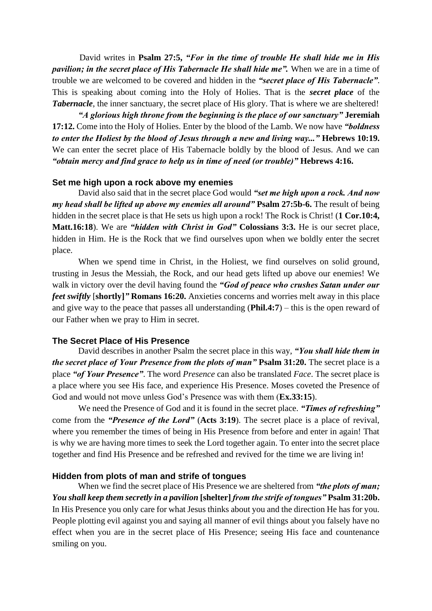David writes in **Psalm 27:5,** *"For in the time of trouble He shall hide me in His pavilion; in the secret place of His Tabernacle He shall hide me".* When we are in a time of trouble we are welcomed to be covered and hidden in the *"secret place of His Tabernacle"*. This is speaking about coming into the Holy of Holies. That is the *secret place* of the **Tabernacle**, the inner sanctuary, the secret place of His glory. That is where we are sheltered!

*"A glorious high throne from the beginning is the place of our sanctuary"* **Jeremiah 17:12.** Come into the Holy of Holies. Enter by the blood of the Lamb. We now have *"boldness to enter the Holiest by the blood of Jesus through a new and living way..."* **Hebrews 10:19.**  We can enter the secret place of His Tabernacle boldly by the blood of Jesus. And we can *"obtain mercy and find grace to help us in time of need (or trouble)"* **Hebrews 4:16.** 

#### **Set me high upon a rock above my enemies**

David also said that in the secret place God would *"set me high upon a rock. And now my head shall be lifted up above my enemies all around"* **Psalm 27:5b-6.** The result of being hidden in the secret place is that He sets us high upon a rock! The Rock is Christ! (**1 Cor.10:4, Matt.16:18**). We are *"hidden with Christ in God"* **Colossians 3:3.** He is our secret place, hidden in Him. He is the Rock that we find ourselves upon when we boldly enter the secret place.

When we spend time in Christ, in the Holiest, we find ourselves on solid ground, trusting in Jesus the Messiah, the Rock, and our head gets lifted up above our enemies! We walk in victory over the devil having found the *"God of peace who crushes Satan under our feet swiftly* [**shortly]***"* **Romans 16:20.** Anxieties concerns and worries melt away in this place and give way to the peace that passes all understanding (**Phil.4:7**) – this is the open reward of our Father when we pray to Him in secret.

#### **The Secret Place of His Presence**

 David describes in another Psalm the secret place in this way, *"You shall hide them in the secret place of Your Presence from the plots of man" Psalm 31:20. The secret place is a* place *"of Your Presence"*. The word *Presence* can also be translated *Face*. The secret place is a place where you see His face, and experience His Presence. Moses coveted the Presence of God and would not move unless God's Presence was with them (**Ex.33:15**).

We need the Presence of God and it is found in the secret place. *"Times of refreshing"*  come from the *"Presence of the Lord"* (**Acts 3:19**). The secret place is a place of revival, where you remember the times of being in His Presence from before and enter in again! That is why we are having more times to seek the Lord together again. To enter into the secret place together and find His Presence and be refreshed and revived for the time we are living in!

#### **Hidden from plots of man and strife of tongues**

 When we find the secret place of His Presence we are sheltered from *"the plots of man; You shall keep them secretly in a pavilion* **[shelter]** *from the strife of tongues"* **Psalm 31:20b.**  In His Presence you only care for what Jesus thinks about you and the direction He has for you. People plotting evil against you and saying all manner of evil things about you falsely have no effect when you are in the secret place of His Presence; seeing His face and countenance smiling on you.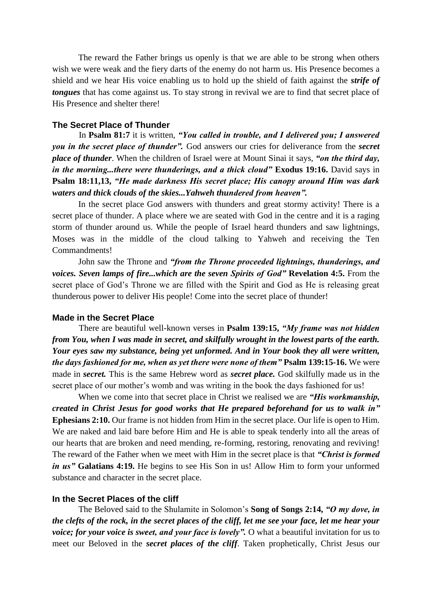The reward the Father brings us openly is that we are able to be strong when others wish we were weak and the fiery darts of the enemy do not harm us. His Presence becomes a shield and we hear His voice enabling us to hold up the shield of faith against the *strife of tongues* that has come against us. To stay strong in revival we are to find that secret place of His Presence and shelter there!

#### **The Secret Place of Thunder**

 In **Psalm 81:7** it is written, *"You called in trouble, and I delivered you; I answered you in the secret place of thunder".* God answers our cries for deliverance from the *secret place of thunder*. When the children of Israel were at Mount Sinai it says, *"on the third day, in the morning...there were thunderings, and a thick cloud"* **Exodus 19:16.** David says in **Psalm 18:11,13,** *"He made darkness His secret place; His canopy around Him was dark waters and thick clouds of the skies...Yahweh thundered from heaven".* 

In the secret place God answers with thunders and great stormy activity! There is a secret place of thunder. A place where we are seated with God in the centre and it is a raging storm of thunder around us. While the people of Israel heard thunders and saw lightnings, Moses was in the middle of the cloud talking to Yahweh and receiving the Ten Commandments!

John saw the Throne and *"from the Throne proceeded lightnings, thunderings, and voices. Seven lamps of fire...which are the seven Spirits of God"* **Revelation 4:5.** From the secret place of God's Throne we are filled with the Spirit and God as He is releasing great thunderous power to deliver His people! Come into the secret place of thunder!

#### **Made in the Secret Place**

 There are beautiful well-known verses in **Psalm 139:15,** *"My frame was not hidden from You, when I was made in secret, and skilfully wrought in the lowest parts of the earth. Your eyes saw my substance, being yet unformed. And in Your book they all were written, the days fashioned for me, when as yet there were none of them"* **Psalm 139:15-16.** We were made in *secret.* This is the same Hebrew word as *secret place.* God skilfully made us in the secret place of our mother's womb and was writing in the book the days fashioned for us!

When we come into that secret place in Christ we realised we are *"His workmanship, created in Christ Jesus for good works that He prepared beforehand for us to walk in"*  **Ephesians 2:10.** Our frame is not hidden from Him in the secret place. Our life is open to Him. We are naked and laid bare before Him and He is able to speak tenderly into all the areas of our hearts that are broken and need mending, re-forming, restoring, renovating and reviving! The reward of the Father when we meet with Him in the secret place is that *"Christ is formed in us"* **Galatians 4:19.** He begins to see His Son in us! Allow Him to form your unformed substance and character in the secret place.

#### **In the Secret Places of the cliff**

 The Beloved said to the Shulamite in Solomon's **Song of Songs 2:14,** *"O my dove, in the clefts of the rock, in the secret places of the cliff, let me see your face, let me hear your voice; for your voice is sweet, and your face is lovely".* O what a beautiful invitation for us to meet our Beloved in the *secret places of the cliff*. Taken prophetically, Christ Jesus our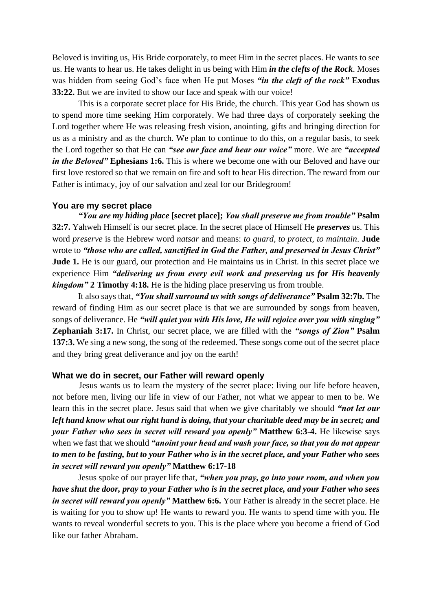Beloved is inviting us, His Bride corporately, to meet Him in the secret places. He wants to see us. He wants to hear us. He takes delight in us being with Him *in the clefts of the Rock*. Moses was hidden from seeing God's face when He put Moses *"in the cleft of the rock"* **Exodus 33:22.** But we are invited to show our face and speak with our voice!

 This is a corporate secret place for His Bride, the church. This year God has shown us to spend more time seeking Him corporately. We had three days of corporately seeking the Lord together where He was releasing fresh vision, anointing, gifts and bringing direction for us as a ministry and as the church. We plan to continue to do this, on a regular basis, to seek the Lord together so that He can *"see our face and hear our voice"* more. We are *"accepted in the Beloved*" **Ephesians 1:6.** This is where we become one with our Beloved and have our first love restored so that we remain on fire and soft to hear His direction. The reward from our Father is intimacy, joy of our salvation and zeal for our Bridegroom!

#### **You are my secret place**

 *"You are my hiding place* **[secret place];** *You shall preserve me from trouble"* **Psalm 32:7.** Yahweh Himself is our secret place. In the secret place of Himself He *preserves* us. This word *preserve* is the Hebrew word *natsar* and means: *to guard, to protect, to maintain*. **Jude**  wrote to *"those who are called, sanctified in God the Father, and preserved in Jesus Christ"*  **Jude 1.** He is our guard, our protection and He maintains us in Christ. In this secret place we experience Him *"delivering us from every evil work and preserving us for His heavenly kingdom"* **2 Timothy 4:18.** He is the hiding place preserving us from trouble.

 It also says that, *"You shall surround us with songs of deliverance"* **Psalm 32:7b.** The reward of finding Him as our secret place is that we are surrounded by songs from heaven, songs of deliverance. He *"will quiet you with His love, He will rejoice over you with singing"*  **Zephaniah 3:17.** In Christ, our secret place, we are filled with the *"songs of Zion"* **Psalm 137:3.** We sing a new song, the song of the redeemed. These songs come out of the secret place and they bring great deliverance and joy on the earth!

#### **What we do in secret, our Father will reward openly**

 Jesus wants us to learn the mystery of the secret place: living our life before heaven, not before men, living our life in view of our Father, not what we appear to men to be. We learn this in the secret place. Jesus said that when we give charitably we should *"not let our left hand know what our right hand is doing, that your charitable deed may be in secret; and your Father who sees in secret will reward you openly"* **Matthew 6:3-4.** He likewise says when we fast that we should *"anoint your head and wash your face, so that you do not appear to men to be fasting, but to your Father who is in the secret place, and your Father who sees in secret will reward you openly"* **Matthew 6:17-18**

Jesus spoke of our prayer life that, *"when you pray, go into your room, and when you have shut the door, pray to your Father who is in the secret place, and your Father who sees in secret will reward you openly"* **Matthew 6:6.** Your Father is already in the secret place. He is waiting for you to show up! He wants to reward you. He wants to spend time with you. He wants to reveal wonderful secrets to you. This is the place where you become a friend of God like our father Abraham.